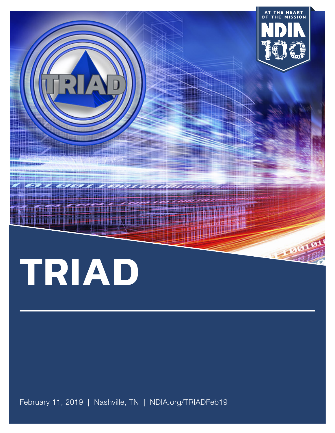

February 11, 2019 | Nashville, TN | NDIA.org/TRIADFeb19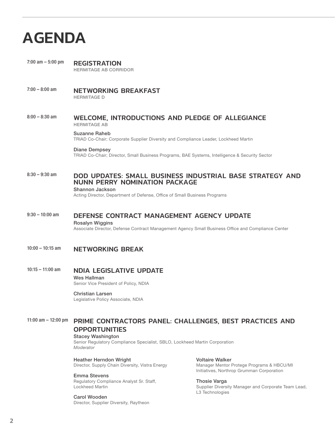# AGENDA

7:00 am – 5:00 pm<br>
REGISTRATION HERMITAGE AB CORRIDOR

7:00 - 8:00 am **NETWORKING BREAKFAST** HERMITAGE D

#### 8:00 - 8:30 am WELCOME, INTRODUCTIONS AND PLEDGE OF ALLEGIANCE HERMITAGE AB

#### Suzanne Raheb

TRIAD Co-Chair; Corporate Supplier Diversity and Compliance Leader, Lockheed Martin

#### Diane Dempsey

TRIAD Co-Chair; Director, Small Business Programs, BAE Systems, Intelligence & Security Sector

#### 8:30 - 9:30 am **DOD UPDATES: SMALL BUSINESS INDUSTRIAL BASE STRATEGY AND** NUNN PERRY NOMINATION PACKAGE

Shannon Jackson

Acting Director, Department of Defense, Office of Small Business Programs

#### 9:30 – 10:00 am DEFENSE CONTRACT MANAGEMENT AGENCY UPDATE Rosalyn Wiggins

Associate Director, Defense Contract Management Agency Small Business Office and Compliance Center

#### 10:00 – 10:15 am NETWORKING BREAK

10:15 - 11:00 am **NDIA LEGISLATIVE UPDATE** Wes Hallman

Senior Vice President of Policy, NDIA

#### Christian Larsen

Legislative Policy Associate, NDIA

#### 11:00 am – 12:00 pm PRIME CONTRACTORS PANEL: CHALLENGES, BEST PRACTICES AND **OPPORTUNITIES**

#### Stacey Washington

Senior Regulatory Compliance Specialist, SBLO, Lockheed Martin Corporation *Moderator*

Heather Herndon Wright Director, Supply Chain Diversity, Vistra Energy

#### Emma Stevens

Regulatory Compliance Analyst Sr. Staff, Lockheed Martin

#### Carol Wooden

Director, Supplier Diversity, Raytheon

Voltaire Walker Manager Mentor Protege Programs & HBCU/MI Initiatives, Northrop Grumman Corporation

Thosie Varga

Supplier Diversity Manager and Corporate Team Lead, L3 Technologies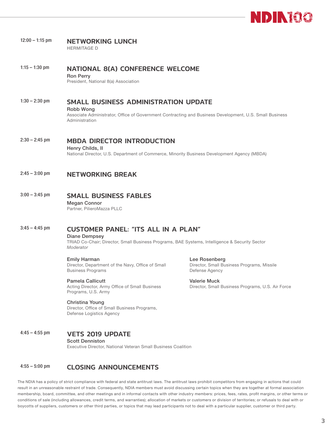

#### 12:00 - 1:15 pm NETWORKING LUNCH HERMITAGE D

1:15 – 1:30 pm NATIONAL 8(A) CONFERENCE WELCOME Ron Perry President, National 8(a) Association

1:30 – 2:30 pm SMALL BUSINESS ADMINISTRATION UPDATE

Robb Wong

Associate Administrator, Office of Government Contracting and Business Development, U.S. Small Business Administration

2:30 - 2:45 pm MBDA DIRECTOR INTRODUCTION

Henry Childs, II National Director, U.S. Department of Commerce, Minority Business Development Agency (MBDA)

#### 2:45 - 3:00 pm NETWORKING BREAK

#### 3:00 – 3:45 pm SMALL BUSINESS FABLES

Megan Connor Partner, PilieroMazza PLLC

### 3:45 – 4:45 pm CUSTOMER PANEL: "ITS ALL IN A PLAN"

Diane Dempsey

TRIAD Co-Chair; Director, Small Business Programs, BAE Systems, Intelligence & Security Sector *Moderator*

Emily Harman Director, Department of the Navy, Office of Small Business Programs

Pamela Callicutt

Acting Director, Army Office of Small Business Programs, U.S. Army

#### Christina Young

Director, Office of Small Business Programs, Defense Logistics Agency

4:45 – 4:55 pm VETS 2019 UPDATE

Scott Denniston

Executive Director, National Veteran Small Business Coalition

#### 4:55 – 5:00 pm CLOSING ANNOUNCEMENTS

The NDIA has a policy of strict compliance with federal and state antitrust laws. The antitrust laws prohibit competitors from engaging in actions that could result in an unreasonable restraint of trade. Consequently, NDIA members must avoid discussing certain topics when they are together at formal association membership, board, committee, and other meetings and in informal contacts with other industry members: prices, fees, rates, profit margins, or other terms or conditions of sale (including allowances, credit terms, and warranties); allocation of markets or customers or division of territories; or refusals to deal with or boycotts of suppliers, customers or other third parties, or topics that may lead participants not to deal with a particular supplier, customer or third party.

Lee Rosenberg Director, Small Business Programs, Missile Defense Agency

Valerie Muck Director, Small Business Programs, U.S. Air Force